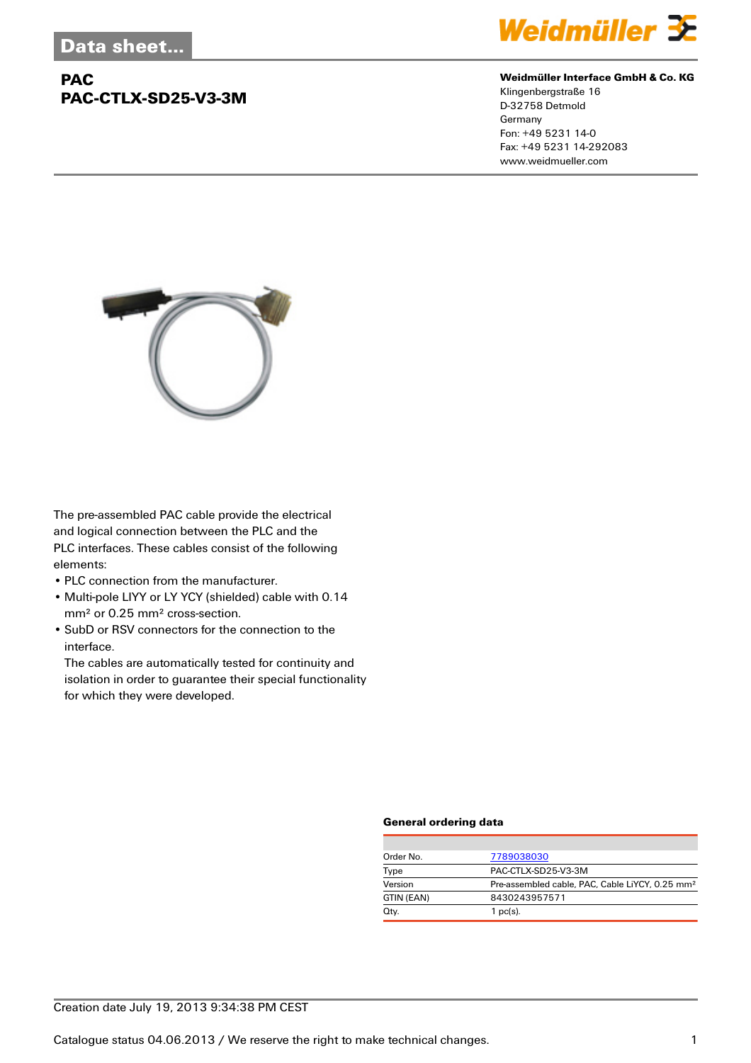## **PAC PAC-CTLX-SD25-V3-3M**



#### **Weidmüller Interface GmbH & Co. KG**

Klingenbergstraße 16 D-32758 Detmold Germany Fon: +49 5231 14-0 Fax: +49 5231 14-292083 www.weidmueller.com



The pre-assembled PAC cable provide the electrical and logical connection between the PLC and the PLC interfaces. These cables consist of the following elements:

- PLC connection from the manufacturer.
- Multi-pole LIYY or LY YCY (shielded) cable with 0.14 mm² or 0.25 mm² cross-section.
- SubD or RSV connectors for the connection to the interface.

The cables are automatically tested for continuity and isolation in order to guarantee their special functionality for which they were developed.

#### **General ordering data**

| Order No.  | 7789038030                                                  |  |  |
|------------|-------------------------------------------------------------|--|--|
| Type       | PAC-CTLX-SD25-V3-3M                                         |  |  |
| Version    | Pre-assembled cable, PAC, Cable LiYCY, 0.25 mm <sup>2</sup> |  |  |
| GTIN (EAN) | 8430243957571                                               |  |  |
| Qty.       | 1 $pc(s)$ .                                                 |  |  |